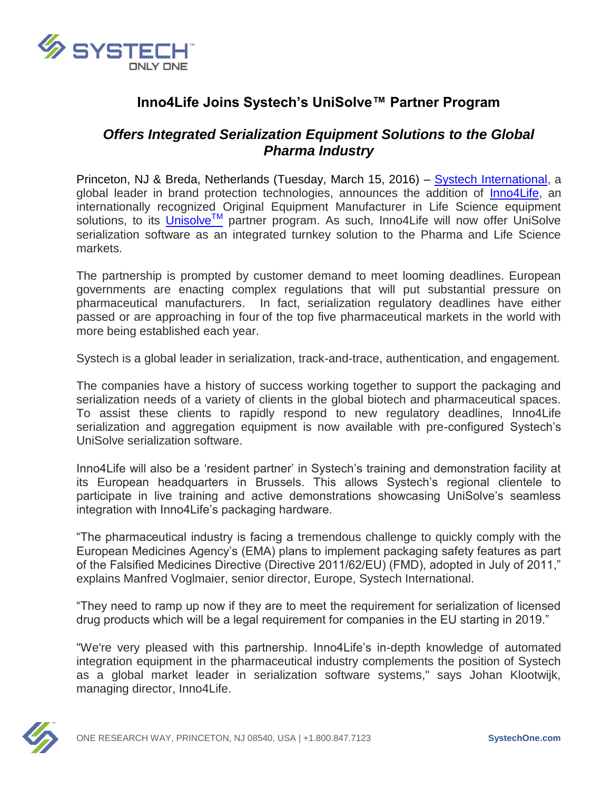

# **Inno4Life Joins Systech's UniSolve™ Partner Program**

## *Offers Integrated Serialization Equipment Solutions to the Global Pharma Industry*

Princeton, NJ & Breda, Netherlands (Tuesday, March 15, 2016) – [Systech International,](http://www.systechone.com/) a global leader in brand protection technologies, announces the addition of [Inno4Life,](http://www.inno4life.com/) an internationally recognized Original Equipment Manufacturer in Life Science equipment solutions, to its *[Unisolve](http://systechone.com/serialization/)™* partner program. As such, Inno4Life will now offer UniSolve serialization software as an integrated turnkey solution to the Pharma and Life Science markets.

The partnership is prompted by customer demand to meet looming deadlines. European governments are enacting complex regulations that will put substantial pressure on pharmaceutical manufacturers. In fact, serialization regulatory deadlines have either passed or are approaching in four of the top five pharmaceutical markets in the world with more being established each year.

Systech is a global leader in serialization, track-and-trace, authentication, and engagement.

The companies have a history of success working together to support the packaging and serialization needs of a variety of clients in the global biotech and pharmaceutical spaces. To assist these clients to rapidly respond to new regulatory deadlines, Inno4Life serialization and aggregation equipment is now available with pre-configured Systech's UniSolve serialization software.

Inno4Life will also be a 'resident partner' in Systech's training and demonstration facility at its European headquarters in Brussels. This allows Systech's regional clientele to participate in live training and active demonstrations showcasing UniSolve's seamless integration with Inno4Life's packaging hardware.

"The pharmaceutical industry is facing a tremendous challenge to quickly comply with the European Medicines Agency's (EMA) plans to implement packaging safety features as part of the Falsified Medicines Directive (Directive 2011/62/EU) (FMD), adopted in July of 2011," explains Manfred Voglmaier, senior director, Europe, Systech International.

"They need to ramp up now if they are to meet the requirement for serialization of licensed drug products which will be a legal requirement for companies in the EU starting in 2019."

"We're very pleased with this partnership. Inno4Life's in-depth knowledge of automated integration equipment in the pharmaceutical industry complements the position of Systech as a global market leader in serialization software systems," says Johan Klootwijk, managing director, Inno4Life.